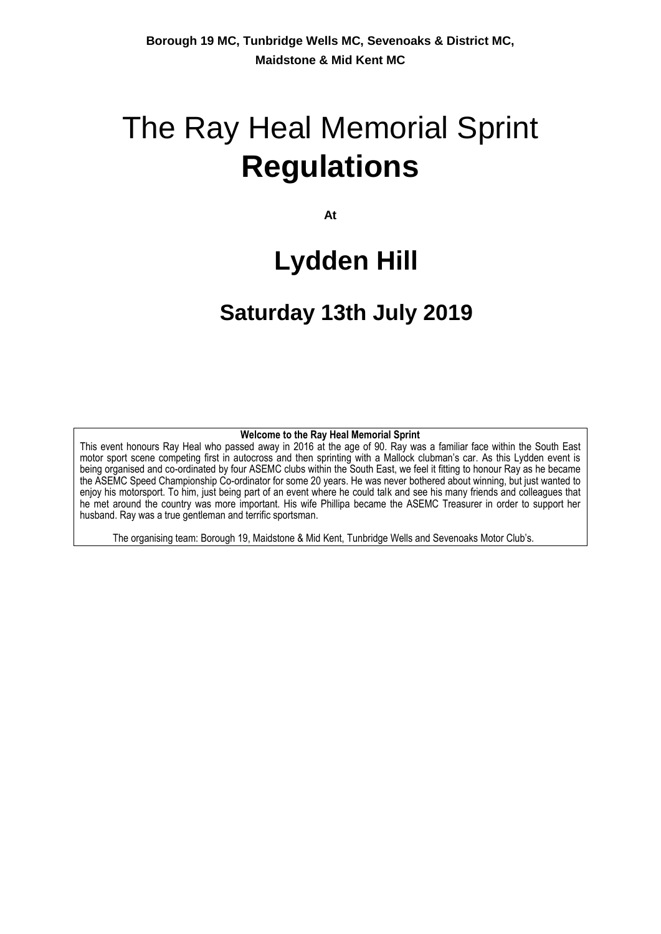# The Ray Heal Memorial Sprint **Regulations**

**At**

## **Lydden Hill**

## **Saturday 13th July 2019**

## **Welcome to the Ray Heal Memorial Sprint**

This event honours Ray Heal who passed away in 2016 at the age of 90. Ray was a familiar face within the South East motor sport scene competing first in autocross and then sprinting with a Mallock clubman's car. As this Lydden event is being organised and co-ordinated by four ASEMC clubs within the South East, we feel it fitting to honour Ray as he became the ASEMC Speed Championship Co-ordinator for some 20 years. He was never bothered about winning, but just wanted to enjoy his motorsport. To him, just being part of an event where he could talk and see his many friends and colleagues that he met around the country was more important. His wife Phillipa became the ASEMC Treasurer in order to support her husband. Ray was a true gentleman and terrific sportsman.

The organising team: Borough 19, Maidstone & Mid Kent, Tunbridge Wells and Sevenoaks Motor Club's.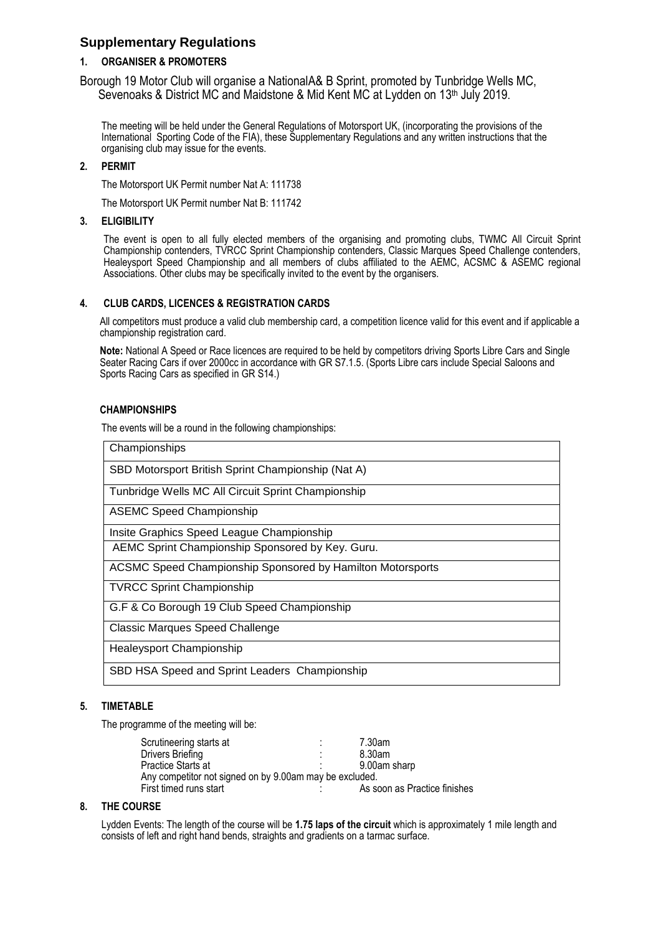## **Supplementary Regulations**

## **1. ORGANISER & PROMOTERS**

Borough 19 Motor Club will organise a NationalA& B Sprint, promoted by Tunbridge Wells MC, Sevenoaks & District MC and Maidstone & Mid Kent MC at Lydden on 13<sup>th</sup> July 2019.

The meeting will be held under the General Regulations of Motorsport UK, (incorporating the provisions of the International Sporting Code of the FIA), these Supplementary Regulations and any written instructions that the organising club may issue for the events.

## **2. PERMIT**

The Motorsport UK Permit number Nat A: 111738

The Motorsport UK Permit number Nat B: 111742

## **3. ELIGIBILITY**

The event is open to all fully elected members of the organising and promoting clubs, TWMC All Circuit Sprint Championship contenders, TVRCC Sprint Championship contenders, Classic Marques Speed Challenge contenders, Healeysport Speed Championship and all members of clubs affiliated to the AEMC, ACSMC & ASEMC regional Associations. Other clubs may be specifically invited to the event by the organisers.

## **4. CLUB CARDS, LICENCES & REGISTRATION CARDS**

All competitors must produce a valid club membership card, a competition licence valid for this event and if applicable a championship registration card.

**Note:** National A Speed or Race licences are required to be held by competitors driving Sports Libre Cars and Single Seater Racing Cars if over 2000cc in accordance with GR S7.1.5. (Sports Libre cars include Special Saloons and Sports Racing Cars as specified in GR S14.)

## **CHAMPIONSHIPS**

The events will be a round in the following championships:

| Championships                                                     |
|-------------------------------------------------------------------|
| SBD Motorsport British Sprint Championship (Nat A)                |
| Tunbridge Wells MC All Circuit Sprint Championship                |
| <b>ASEMC Speed Championship</b>                                   |
| Insite Graphics Speed League Championship                         |
| AEMC Sprint Championship Sponsored by Key. Guru.                  |
| <b>ACSMC Speed Championship Sponsored by Hamilton Motorsports</b> |
| <b>TVRCC Sprint Championship</b>                                  |
| G.F & Co Borough 19 Club Speed Championship                       |
| <b>Classic Marques Speed Challenge</b>                            |
| <b>Healeysport Championship</b>                                   |
| SBD HSA Speed and Sprint Leaders Championship                     |

## **5. TIMETABLE**

The programme of the meeting will be:

| Scrutineering starts at                                 | 7.30am                       |
|---------------------------------------------------------|------------------------------|
| Drivers Briefing                                        | 8.30am                       |
| Practice Starts at                                      | 9.00am sharp                 |
| Any competitor not signed on by 9.00am may be excluded. |                              |
| First timed runs start                                  | As soon as Practice finishes |
|                                                         |                              |

## **8. THE COURSE**

Lydden Events: The length of the course will be **1.75 laps of the circuit** which is approximately 1 mile length and consists of left and right hand bends, straights and gradients on a tarmac surface.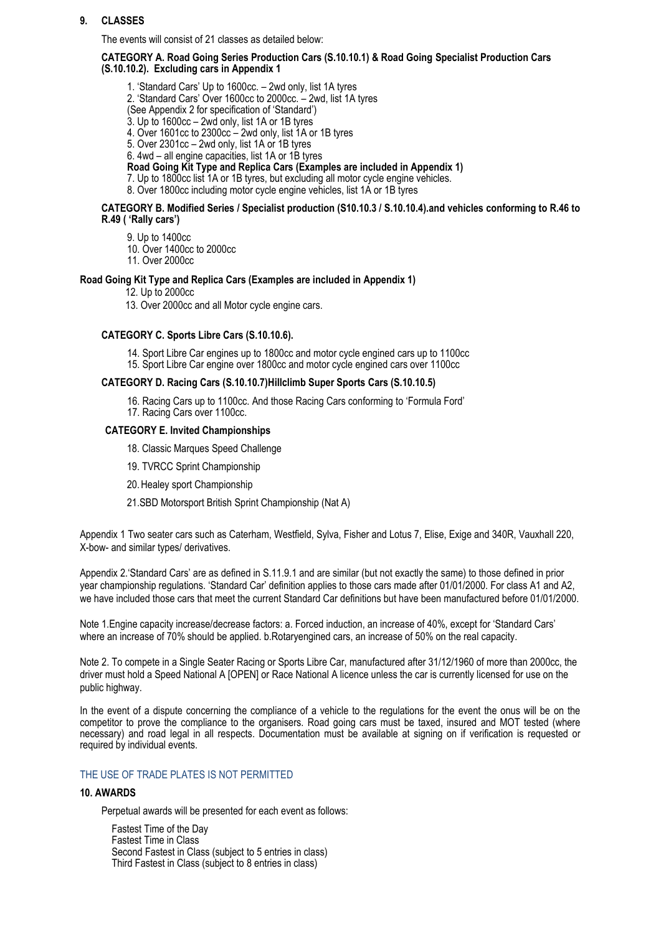## **9. CLASSES**

The events will consist of 21 classes as detailed below:

**CATEGORY A. Road Going Series Production Cars (S.10.10.1) & Road Going Specialist Production Cars (S.10.10.2). Excluding cars in Appendix 1**

- 1. 'Standard Cars' Up to 1600cc. 2wd only, list 1A tyres
- 2. 'Standard Cars' Over 1600cc to 2000cc. 2wd, list 1A tyres
- (See Appendix 2 for specification of 'Standard')
- 3. Up to 1600cc 2wd only, list 1A or 1B tyres
- 4. Over 1601cc to 2300cc 2wd only, list 1A or 1B tyres
- 5. Over 2301cc 2wd only, list 1A or 1B tyres
- 6. 4wd all engine capacities, list 1A or 1B tyres

**Road Going Kit Type and Replica Cars (Examples are included in Appendix 1)**

- 7. Up to 1800cc list 1A or 1B tyres, but excluding all motor cycle engine vehicles.
- 8. Over 1800cc including motor cycle engine vehicles, list 1A or 1B tyres

#### **CATEGORY B. Modified Series / Specialist production (S10.10.3 / S.10.10.4).and vehicles conforming to R.46 to R.49 ( 'Rally cars')**

9. Up to 1400cc

- 10. Over 1400cc to 2000cc
- 11. Over 2000cc

#### **Road Going Kit Type and Replica Cars (Examples are included in Appendix 1)**

- 12. Up to 2000cc
- 13. Over 2000cc and all Motor cycle engine cars.

## **CATEGORY C. Sports Libre Cars (S.10.10.6).**

14. Sport Libre Car engines up to 1800cc and motor cycle engined cars up to 1100cc 15. Sport Libre Car engine over 1800cc and motor cycle engined cars over 1100cc

#### **CATEGORY D. Racing Cars (S.10.10.7)Hillclimb Super Sports Cars (S.10.10.5)**

16. Racing Cars up to 1100cc. And those Racing Cars conforming to 'Formula Ford' 17. Racing Cars over 1100cc.

#### **CATEGORY E. Invited Championships**

- 18. Classic Marques Speed Challenge
- 19. TVRCC Sprint Championship
- 20.Healey sport Championship
- 21.SBD Motorsport British Sprint Championship (Nat A)

Appendix 1 Two seater cars such as Caterham, Westfield, Sylva, Fisher and Lotus 7, Elise, Exige and 340R, Vauxhall 220, X-bow- and similar types/ derivatives.

Appendix 2.'Standard Cars' are as defined in S.11.9.1 and are similar (but not exactly the same) to those defined in prior year championship regulations. 'Standard Car' definition applies to those cars made after 01/01/2000. For class A1 and A2, we have included those cars that meet the current Standard Car definitions but have been manufactured before 01/01/2000.

Note 1.Engine capacity increase/decrease factors: a. Forced induction, an increase of 40%, except for 'Standard Cars' where an increase of 70% should be applied. b.Rotaryengined cars, an increase of 50% on the real capacity.

Note 2. To compete in a Single Seater Racing or Sports Libre Car, manufactured after 31/12/1960 of more than 2000cc, the driver must hold a Speed National A [OPEN] or Race National A licence unless the car is currently licensed for use on the public highway.

In the event of a dispute concerning the compliance of a vehicle to the regulations for the event the onus will be on the competitor to prove the compliance to the organisers. Road going cars must be taxed, insured and MOT tested (where necessary) and road legal in all respects. Documentation must be available at signing on if verification is requested or required by individual events.

#### THE USE OF TRADE PLATES IS NOT PERMITTED

#### **10. AWARDS**

Perpetual awards will be presented for each event as follows:

Fastest Time of the Day Fastest Time in Class Second Fastest in Class (subject to 5 entries in class) Third Fastest in Class (subject to 8 entries in class)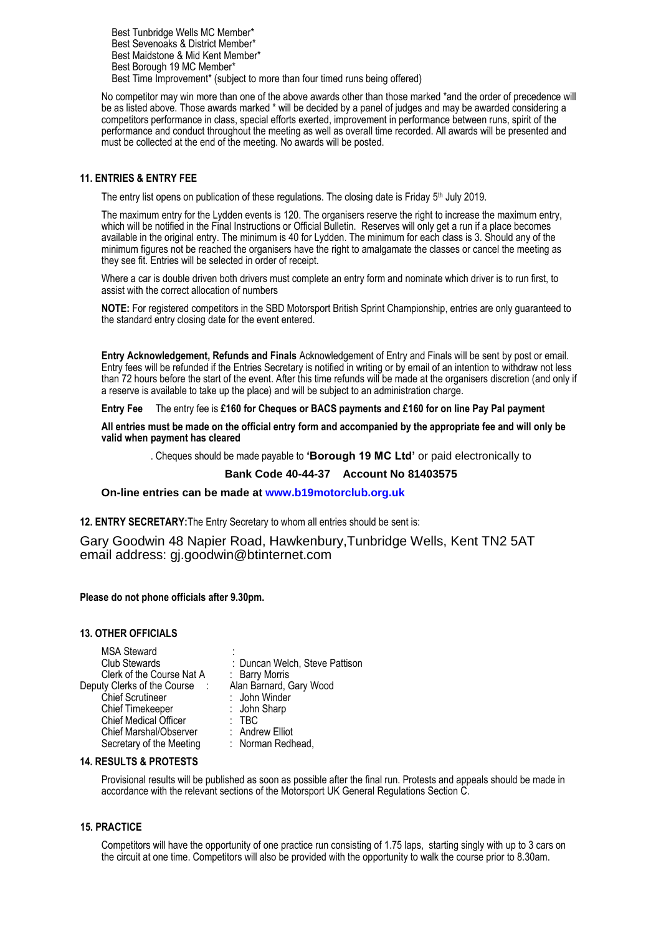Best Tunbridge Wells MC Member\* Best Sevenoaks & District Member\* Best Maidstone & Mid Kent Member\* Best Borough 19 MC Member\* Best Time Improvement\* (subject to more than four timed runs being offered)

No competitor may win more than one of the above awards other than those marked \*and the order of precedence will be as listed above. Those awards marked \* will be decided by a panel of judges and may be awarded considering a competitors performance in class, special efforts exerted, improvement in performance between runs, spirit of the performance and conduct throughout the meeting as well as overall time recorded. All awards will be presented and must be collected at the end of the meeting. No awards will be posted.

## **11. ENTRIES & ENTRY FEE**

The entry list opens on publication of these regulations. The closing date is Friday 5<sup>th</sup> July 2019.

The maximum entry for the Lydden events is 120. The organisers reserve the right to increase the maximum entry, which will be notified in the Final Instructions or Official Bulletin. Reserves will only get a run if a place becomes available in the original entry. The minimum is 40 for Lydden. The minimum for each class is 3. Should any of the minimum figures not be reached the organisers have the right to amalgamate the classes or cancel the meeting as they see fit. Entries will be selected in order of receipt.

Where a car is double driven both drivers must complete an entry form and nominate which driver is to run first, to assist with the correct allocation of numbers

**NOTE:** For registered competitors in the SBD Motorsport British Sprint Championship, entries are only guaranteed to the standard entry closing date for the event entered.

**Entry Acknowledgement, Refunds and Finals** Acknowledgement of Entry and Finals will be sent by post or email. Entry fees will be refunded if the Entries Secretary is notified in writing or by email of an intention to withdraw not less than 72 hours before the start of the event. After this time refunds will be made at the organisers discretion (and only if a reserve is available to take up the place) and will be subject to an administration charge.

**Entry Fee** The entry fee is **£160 for Cheques or BACS payments and £160 for on line Pay Pal payment**

**All entries must be made on the official entry form and accompanied by the appropriate fee and will only be valid when payment has cleared**

. Cheques should be made payable to **'Borough 19 MC Ltd'** or paid electronically to

#### **Bank Code 40-44-37 Account No 81403575**

 **On-line entries can be made at [www.b19motorclub.org.uk](http://www.b19motorclub.org.uk/)**

**12. ENTRY SECRETARY:**The Entry Secretary to whom all entries should be sent is:

Gary Goodwin 48 Napier Road, Hawkenbury,Tunbridge Wells, Kent TN2 5AT email address: gj.goodwin@btinternet.com

**Please do not phone officials after 9.30pm.**

#### **13. OTHER OFFICIALS**

| <b>MSA Steward</b>                        |                                |
|-------------------------------------------|--------------------------------|
| Club Stewards                             | : Duncan Welch, Steve Pattison |
| Clerk of the Course Nat A                 | : Barry Morris                 |
| Deputy Clerks of the Course<br>$\sim 100$ | Alan Barnard, Gary Wood        |
| <b>Chief Scrutineer</b>                   | : John Winder                  |
| <b>Chief Timekeeper</b>                   | : John Sharp                   |
| <b>Chief Medical Officer</b>              | : TBC                          |
| <b>Chief Marshal/Observer</b>             | : Andrew Elliot                |
| Secretary of the Meeting                  | : Norman Redhead,              |

#### **14. RESULTS & PROTESTS**

Provisional results will be published as soon as possible after the final run. Protests and appeals should be made in accordance with the relevant sections of the Motorsport UK General Regulations Section C.

#### **15. PRACTICE**

Competitors will have the opportunity of one practice run consisting of 1.75 laps, starting singly with up to 3 cars on the circuit at one time. Competitors will also be provided with the opportunity to walk the course prior to 8.30am.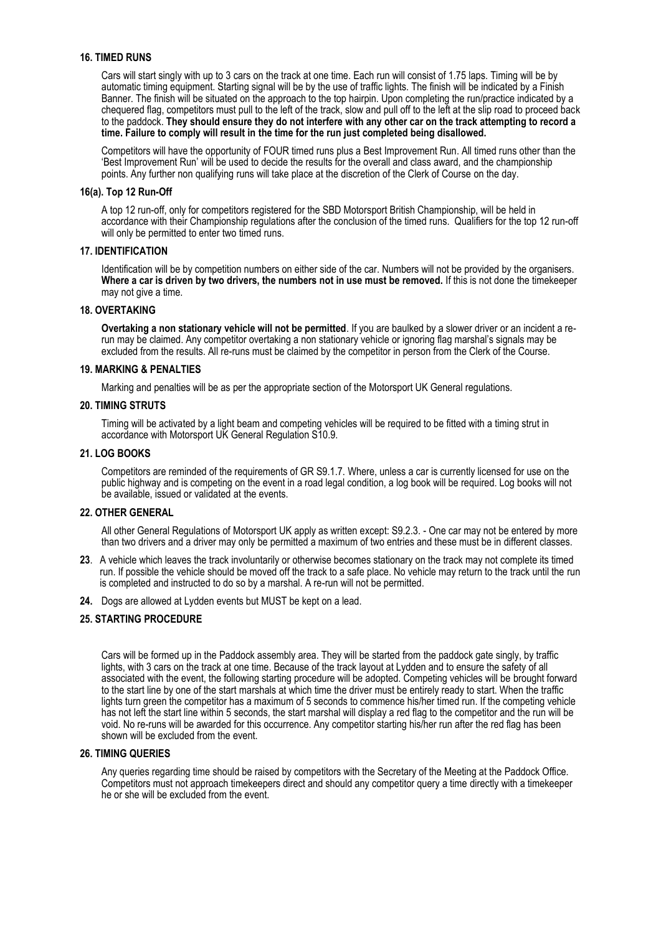## **16. TIMED RUNS**

Cars will start singly with up to 3 cars on the track at one time. Each run will consist of 1.75 laps. Timing will be by automatic timing equipment. Starting signal will be by the use of traffic lights. The finish will be indicated by a Finish Banner. The finish will be situated on the approach to the top hairpin. Upon completing the run/practice indicated by a chequered flag, competitors must pull to the left of the track, slow and pull off to the left at the slip road to proceed back to the paddock. **They should ensure they do not interfere with any other car on the track attempting to record a time. Failure to comply will result in the time for the run just completed being disallowed.** 

Competitors will have the opportunity of FOUR timed runs plus a Best Improvement Run. All timed runs other than the 'Best Improvement Run' will be used to decide the results for the overall and class award, and the championship points. Any further non qualifying runs will take place at the discretion of the Clerk of Course on the day.

#### **16(a). Top 12 Run-Off**

A top 12 run-off, only for competitors registered for the SBD Motorsport British Championship, will be held in accordance with their Championship regulations after the conclusion of the timed runs. Qualifiers for the top 12 run-off will only be permitted to enter two timed runs.

#### **17. IDENTIFICATION**

Identification will be by competition numbers on either side of the car. Numbers will not be provided by the organisers. **Where a car is driven by two drivers, the numbers not in use must be removed.** If this is not done the timekeeper may not give a time.

### **18. OVERTAKING**

**Overtaking a non stationary vehicle will not be permitted**. If you are baulked by a slower driver or an incident a rerun may be claimed. Any competitor overtaking a non stationary vehicle or ignoring flag marshal's signals may be excluded from the results. All re-runs must be claimed by the competitor in person from the Clerk of the Course.

#### **19. MARKING & PENALTIES**

Marking and penalties will be as per the appropriate section of the Motorsport UK General regulations.

#### **20. TIMING STRUTS**

Timing will be activated by a light beam and competing vehicles will be required to be fitted with a timing strut in accordance with Motorsport UK General Regulation S10.9.

#### **21. LOG BOOKS**

Competitors are reminded of the requirements of GR S9.1.7. Where, unless a car is currently licensed for use on the public highway and is competing on the event in a road legal condition, a log book will be required. Log books will not be available, issued or validated at the events.

#### **22. OTHER GENERAL**

All other General Regulations of Motorsport UK apply as written except: S9.2.3. - One car may not be entered by more than two drivers and a driver may only be permitted a maximum of two entries and these must be in different classes.

- **23**. A vehicle which leaves the track involuntarily or otherwise becomes stationary on the track may not complete its timed run. If possible the vehicle should be moved off the track to a safe place. No vehicle may return to the track until the run is completed and instructed to do so by a marshal. A re-run will not be permitted.
- **24.** Dogs are allowed at Lydden events but MUST be kept on a lead.

#### **25. STARTING PROCEDURE**

Cars will be formed up in the Paddock assembly area. They will be started from the paddock gate singly, by traffic lights, with 3 cars on the track at one time. Because of the track layout at Lydden and to ensure the safety of all associated with the event, the following starting procedure will be adopted. Competing vehicles will be brought forward to the start line by one of the start marshals at which time the driver must be entirely ready to start. When the traffic lights turn green the competitor has a maximum of 5 seconds to commence his/her timed run. If the competing vehicle has not left the start line within 5 seconds, the start marshal will display a red flag to the competitor and the run will be void. No re-runs will be awarded for this occurrence. Any competitor starting his/her run after the red flag has been shown will be excluded from the event.

#### **26. TIMING QUERIES**

Any queries regarding time should be raised by competitors with the Secretary of the Meeting at the Paddock Office. Competitors must not approach timekeepers direct and should any competitor query a time directly with a timekeeper he or she will be excluded from the event.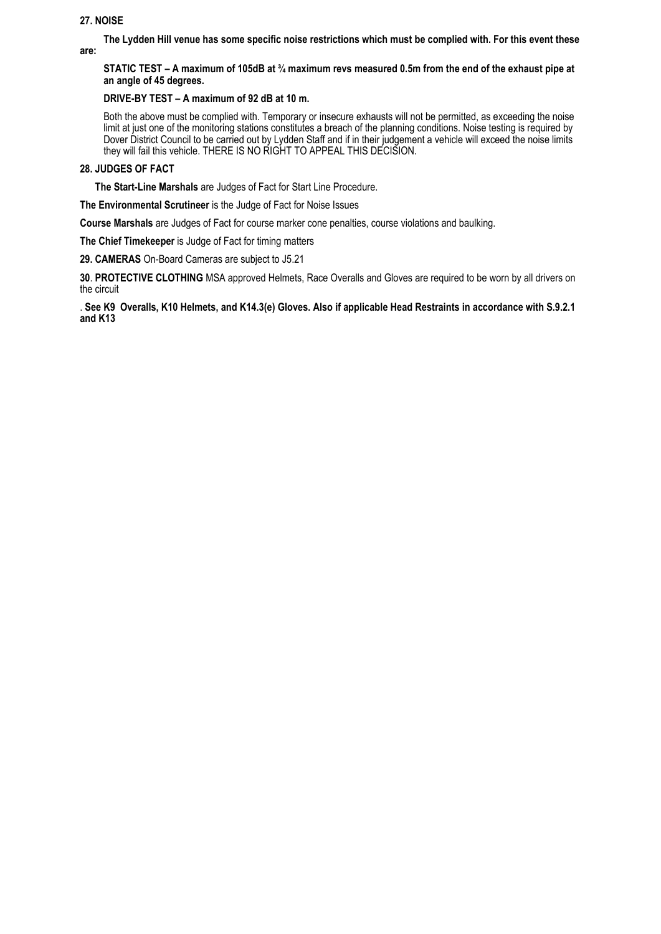## **27. NOISE**

**The Lydden Hill venue has some specific noise restrictions which must be complied with. For this event these** 

**are:**

## **STATIC TEST – A maximum of 105dB at ¾ maximum revs measured 0.5m from the end of the exhaust pipe at an angle of 45 degrees.**

## **DRIVE-BY TEST – A maximum of 92 dB at 10 m.**

Both the above must be complied with. Temporary or insecure exhausts will not be permitted, as exceeding the noise limit at just one of the monitoring stations constitutes a breach of the planning conditions. Noise testing is required by Dover District Council to be carried out by Lydden Staff and if in their judgement a vehicle will exceed the noise limits they will fail this vehicle. THERE IS NO RIGHT TO APPEAL THIS DECISION.

## **28. JUDGES OF FACT**

 **The Start-Line Marshals** are Judges of Fact for Start Line Procedure.

**The Environmental Scrutineer** is the Judge of Fact for Noise Issues

**Course Marshals** are Judges of Fact for course marker cone penalties, course violations and baulking.

**The Chief Timekeeper** is Judge of Fact for timing matters

**29. CAMERAS** On-Board Cameras are subject to J5.21

**30**. **PROTECTIVE CLOTHING** MSA approved Helmets, Race Overalls and Gloves are required to be worn by all drivers on the circuit

. **See K9 Overalls, K10 Helmets, and K14.3(e) Gloves. Also if applicable Head Restraints in accordance with S.9.2.1 and K13**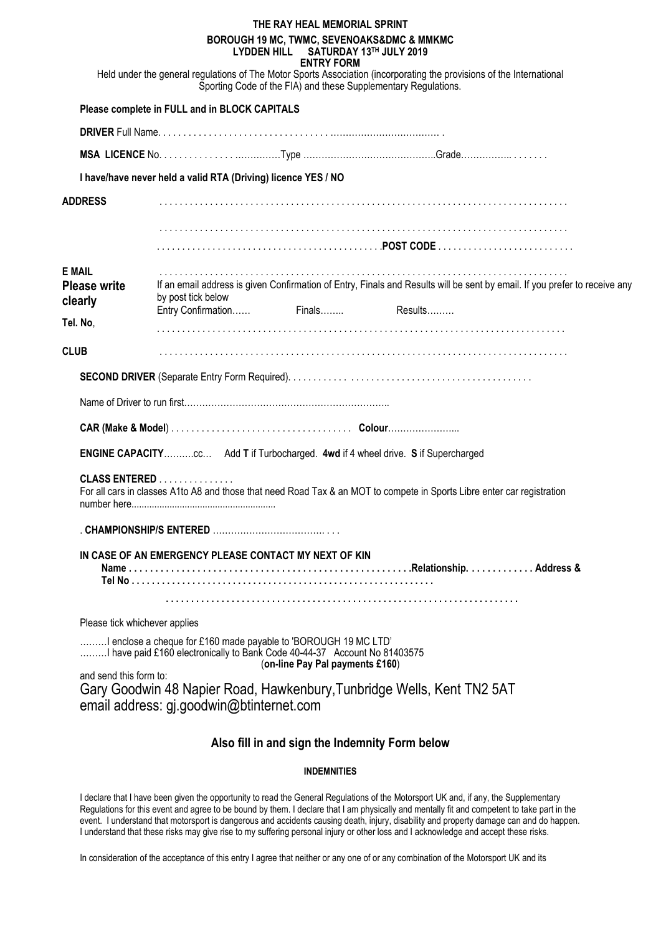|                                                 |                                                                                                                                              | THE RAY HEAL MEMORIAL SPRINT<br>BOROUGH 19 MC, TWMC, SEVENOAKS&DMC & MMKMC<br>LYDDEN HILL SATURDAY 13TH JULY 2019<br><b>ENTRY FORM</b> |                                                                                                                                                                                         |  |
|-------------------------------------------------|----------------------------------------------------------------------------------------------------------------------------------------------|----------------------------------------------------------------------------------------------------------------------------------------|-----------------------------------------------------------------------------------------------------------------------------------------------------------------------------------------|--|
|                                                 |                                                                                                                                              |                                                                                                                                        | Held under the general regulations of The Motor Sports Association (incorporating the provisions of the International<br>Sporting Code of the FIA) and these Supplementary Regulations. |  |
|                                                 | Please complete in FULL and in BLOCK CAPITALS                                                                                                |                                                                                                                                        |                                                                                                                                                                                         |  |
|                                                 |                                                                                                                                              |                                                                                                                                        |                                                                                                                                                                                         |  |
|                                                 |                                                                                                                                              |                                                                                                                                        |                                                                                                                                                                                         |  |
|                                                 | I have/have never held a valid RTA (Driving) licence YES / NO                                                                                |                                                                                                                                        |                                                                                                                                                                                         |  |
| <b>ADDRESS</b>                                  |                                                                                                                                              |                                                                                                                                        |                                                                                                                                                                                         |  |
|                                                 |                                                                                                                                              |                                                                                                                                        |                                                                                                                                                                                         |  |
|                                                 |                                                                                                                                              |                                                                                                                                        |                                                                                                                                                                                         |  |
|                                                 |                                                                                                                                              |                                                                                                                                        |                                                                                                                                                                                         |  |
| <b>E MAIL</b><br><b>Please write</b><br>clearly | by post tick below                                                                                                                           |                                                                                                                                        | If an email address is given Confirmation of Entry, Finals and Results will be sent by email. If you prefer to receive any                                                              |  |
| Tel. No.                                        | Entry Confirmation Finals Results                                                                                                            |                                                                                                                                        |                                                                                                                                                                                         |  |
|                                                 |                                                                                                                                              |                                                                                                                                        |                                                                                                                                                                                         |  |
| <b>CLUB</b>                                     |                                                                                                                                              |                                                                                                                                        |                                                                                                                                                                                         |  |
|                                                 |                                                                                                                                              |                                                                                                                                        |                                                                                                                                                                                         |  |
|                                                 |                                                                                                                                              |                                                                                                                                        |                                                                                                                                                                                         |  |
|                                                 |                                                                                                                                              |                                                                                                                                        |                                                                                                                                                                                         |  |
|                                                 |                                                                                                                                              |                                                                                                                                        |                                                                                                                                                                                         |  |
|                                                 | ENGINE CAPACITYcc Add T if Turbocharged. 4wd if 4 wheel drive. S if Supercharged                                                             |                                                                                                                                        |                                                                                                                                                                                         |  |
|                                                 | <b>CLASS ENTERED</b>                                                                                                                         |                                                                                                                                        | For all cars in classes A1to A8 and those that need Road Tax & an MOT to compete in Sports Libre enter car registration                                                                 |  |
|                                                 |                                                                                                                                              |                                                                                                                                        |                                                                                                                                                                                         |  |
|                                                 | IN CASE OF AN EMERGENCY PLEASE CONTACT MY NEXT OF KIN                                                                                        |                                                                                                                                        |                                                                                                                                                                                         |  |
|                                                 |                                                                                                                                              |                                                                                                                                        |                                                                                                                                                                                         |  |
| Please tick whichever applies                   |                                                                                                                                              |                                                                                                                                        |                                                                                                                                                                                         |  |
|                                                 | I enclose a cheque for £160 made payable to 'BOROUGH 19 MC LTD'<br>I have paid £160 electronically to Bank Code 40-44-37 Account No 81403575 | (on-line Pay Pal payments £160)                                                                                                        |                                                                                                                                                                                         |  |
| and send this form to:                          | email address: gj.goodwin@btinternet.com                                                                                                     |                                                                                                                                        | Gary Goodwin 48 Napier Road, Hawkenbury, Tunbridge Wells, Kent TN2 5AT                                                                                                                  |  |
|                                                 |                                                                                                                                              |                                                                                                                                        |                                                                                                                                                                                         |  |

## **Also fill in and sign the Indemnity Form below**

## **INDEMNITIES**

I declare that I have been given the opportunity to read the General Regulations of the Motorsport UK and, if any, the Supplementary Regulations for this event and agree to be bound by them. I declare that I am physically and mentally fit and competent to take part in the event. I understand that motorsport is dangerous and accidents causing death, injury, disability and property damage can and do happen. I understand that these risks may give rise to my suffering personal injury or other loss and I acknowledge and accept these risks.

In consideration of the acceptance of this entry I agree that neither or any one of or any combination of the Motorsport UK and its